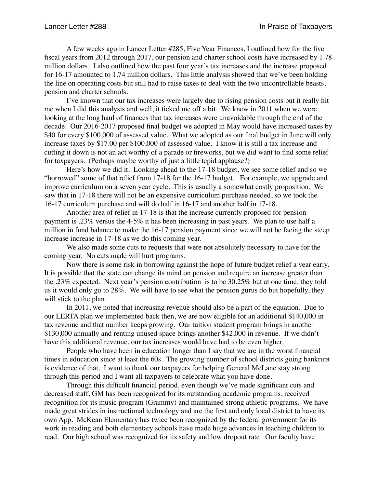A few weeks ago in Lancer Letter #285, Five Year Finances, I outlined how for the five fiscal years from 2012 through 2017, our pension and charter school costs have increased by 1.78 million dollars. I also outlined how the past four year's tax increases and the increase proposed for 16-17 amounted to 1.74 million dollars. This little analysis showed that we've been holding the line on operating costs but still had to raise taxes to deal with the two uncontrollable beasts, pension and charter schools.

I've known that our tax increases were largely due to rising pension costs but it really hit me when I did this analysis and well, it ticked me off a bit. We knew in 2011 when we were looking at the long haul of finances that tax increases were unavoidable through the end of the decade. Our 2016-2017 proposed final budget we adopted in May would have increased taxes by \$40 for every \$100,000 of assessed value. What we adopted as our final budget in June will only increase taxes by \$17.00 per \$100,000 of assessed value. I know it is still a tax increase and cutting it down is not an act worthy of a parade or fireworks, but we did want to find some relief for taxpayers. (Perhaps maybe worthy of just a little tepid applause?)

Here's how we did it. Looking ahead to the 17-18 budget, we see some relief and so we "borrowed" some of that relief from 17-18 for the 16-17 budget. For example, we upgrade and improve curriculum on a seven year cycle. This is usually a somewhat costly proposition. We saw that in 17-18 there will not be an expensive curriculum purchase needed, so we took the 16-17 curriculum purchase and will do half in 16-17 and another half in 17-18.

Another area of relief in 17-18 is that the increase currently proposed for pension payment is .23% versus the 4-5% it has been increasing in past years. We plan to use half a million in fund balance to make the 16-17 pension payment since we will not be facing the steep increase increase in 17-18 as we do this coming year.

We also made some cuts to requests that were not absolutely necessary to have for the coming year. No cuts made will hurt programs.

Now there is some risk in borrowing against the hope of future budget relief a year early. It is possible that the state can change its mind on pension and require an increase greater than the .23% expected. Next year's pension contribution is to be 30.25% but at one time, they told us it would only go to 28%. We will have to see what the pension gurus do but hopefully, they will stick to the plan.

In 2011, we noted that increasing revenue should also be a part of the equation. Due to our LERTA plan we implemented back then, we are now eligible for an additional \$140,000 in tax revenue and that number keeps growing. Our tuition student program brings in another \$130,000 annually and renting unused space brings another \$42,000 in revenue. If we didn't have this additional revenue, our tax increases would have had to be even higher.

People who have been in education longer than I say that we are in the worst financial times in education since at least the 60s. The growing number of school districts going bankrupt is evidence of that. I want to thank our taxpayers for helping General McLane stay strong through this period and I want all taxpayers to celebrate what you have done.

Through this difficult financial period, even though we've made significant cuts and decreased staff, GM has been recognized for its outstanding academic programs, received recognition for its music program (Grammy) and maintained strong athletic programs. We have made great strides in instructional technology and are the first and only local district to have its own App. McKean Elementary has twice been recognized by the federal government for its work in reading and both elementary schools have made huge advances in teaching children to read. Our high school was recognized for its safety and low dropout rate. Our faculty have